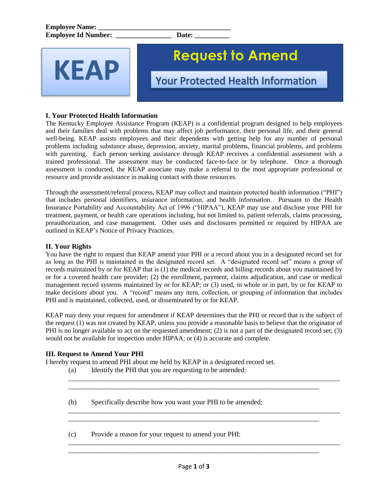

# **Request to Amend**

**Your Protected Health Information** 

# **I. Your Protected Health Information**

The Kentucky Employee Assistance Program (KEAP) is a confidential program designed to help employees and their families deal with problems that may affect job performance, their personal life, and their general well-being. KEAP assists employees and their dependents with getting help for any number of personal problems including substance abuse, depression, anxiety, marital problems, financial problems, and problems with parenting. Each person seeking assistance through KEAP receives a confidential assessment with a trained professional. The assessment may be conducted face-to-face or by telephone. Once a thorough assessment is conducted, the KEAP associate may make a referral to the most appropriate professional or resource and provide assistance in making contact with those resources.

Through the assessment/referral process, KEAP may collect and maintain protected health information ("PHI") that includes personal identifiers, insurance information, and health information. Pursuant to the Health Insurance Portability and Accountability Act of 1996 ("HIPAA"), KEAP may use and disclose your PHI for treatment, payment, or health care operations including, but not limited to, patient referrals, claims processing, preauthorization, and case management. Other uses and disclosures permitted or required by HIPAA are outlined in KEAP's Notice of Privacy Practices.

## **II. Your Rights**

You have the right to request that KEAP amend your PHI or a record about you in a designated record set for as long as the PHI is maintained in the designated record set. A "designated record set" means a group of records maintained by or for KEAP that is (1) the medical records and billing records about you maintained by or for a covered health care provider; (2) the enrollment, payment, claims adjudication, and case or medical management record systems maintained by or for KEAP; or (3) used, in whole or in part, by or for KEAP to make decisions about you. A "record" means any item, collection, or grouping of information that includes PHI and is maintained, collected, used, or disseminated by or for KEAP.

KEAP may deny your request for amendment if KEAP determines that the PHI or record that is the subject of the request (1) was not created by KEAP, unless you provide a reasonable basis to believe that the originator of PHI is no longer available to act on the requested amendment; (2) is not a part of the designated record set; (3) would not be available for inspection under HIPAA; or (4) is accurate and complete.

\_\_\_\_\_\_\_\_\_\_\_\_\_\_\_\_\_\_\_\_\_\_\_\_\_\_\_\_\_\_\_\_\_\_\_\_\_\_\_\_\_\_\_\_\_\_\_\_\_\_\_\_\_\_\_\_\_\_\_\_\_\_\_\_\_\_\_\_\_\_\_\_\_\_\_\_\_\_

\_\_\_\_\_\_\_\_\_\_\_\_\_\_\_\_\_\_\_\_\_\_\_\_\_\_\_\_\_\_\_\_\_\_\_\_\_\_\_\_\_\_\_\_\_\_\_\_\_\_\_\_\_\_\_\_\_\_\_\_\_\_\_\_\_\_\_\_\_\_\_\_\_\_\_\_\_\_

\_\_\_\_\_\_\_\_\_\_\_\_\_\_\_\_\_\_\_\_\_\_\_\_\_\_\_\_\_\_\_\_\_\_\_\_\_\_\_\_\_\_\_\_\_\_\_\_\_\_\_\_\_\_\_\_\_\_\_\_\_\_\_\_\_\_\_\_\_\_\_\_\_\_\_\_\_\_

\_\_\_\_\_\_\_\_\_\_\_\_\_\_\_\_\_\_\_\_\_\_\_\_\_\_\_\_\_\_\_\_\_\_\_\_\_\_\_\_\_\_\_\_\_\_\_\_\_\_\_\_\_\_\_\_\_\_\_\_\_\_\_\_\_\_\_\_\_\_\_\_

\_\_\_\_\_\_\_\_\_\_\_\_\_\_\_\_\_\_\_\_\_\_\_\_\_\_\_\_\_\_\_\_\_\_\_\_\_\_\_\_\_\_\_\_\_\_\_\_\_\_\_\_\_\_\_\_\_\_\_\_\_\_\_\_\_\_\_\_\_\_\_\_

### **III. Request to Amend Your PHI**

I hereby request to amend PHI about me held by KEAP in a designated record set.

(a) Identify the PHI that you are requesting to be amended:

(b) Specifically describe how you want your PHI to be amended:

(c) Provide a reason for your request to amend your PHI:

\_\_\_\_\_\_\_\_\_\_\_\_\_\_\_\_\_\_\_\_\_\_\_\_\_\_\_\_\_\_\_\_\_\_\_\_\_\_\_\_\_\_\_\_\_\_\_\_\_\_\_\_\_\_\_\_\_\_\_\_\_\_\_\_\_\_\_\_\_\_\_\_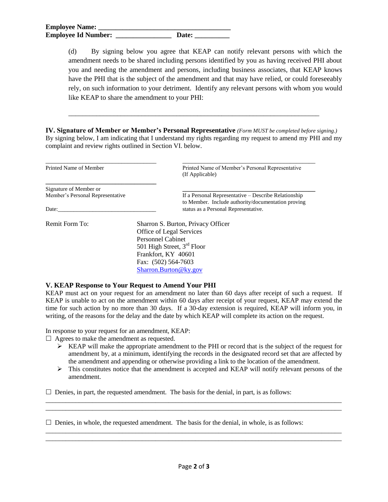(d) By signing below you agree that KEAP can notify relevant persons with which the amendment needs to be shared including persons identified by you as having received PHI about you and needing the amendment and persons, including business associates, that KEAP knows have the PHI that is the subject of the amendment and that may have relied, or could foreseeably rely, on such information to your detriment. Identify any relevant persons with whom you would like KEAP to share the amendment to your PHI:

**IV. Signature of Member or Member's Personal Representative** *(Form MUST be completed before signing.)* By signing below, I am indicating that I understand my rights regarding my request to amend my PHI and my complaint and review rights outlined in Section VI. below.

\_\_\_\_\_\_\_\_\_\_\_\_\_\_\_\_\_\_\_\_\_\_\_\_\_\_\_\_\_\_\_\_\_\_\_\_\_\_\_\_\_\_\_\_\_\_\_\_\_\_\_\_\_\_\_\_\_\_\_\_\_\_\_\_\_\_\_\_\_\_\_\_

| Printed Name of Member           | Printed Name of Member's Personal Representative<br>(If Applicable)                                        |
|----------------------------------|------------------------------------------------------------------------------------------------------------|
| Signature of Member or           |                                                                                                            |
| Member's Personal Representative | If a Personal Representative – Describe Relationship<br>to Member. Include authority/documentation proving |
| Date:                            | status as a Personal Representative.                                                                       |
| Remit Form To:                   | Sharron S. Burton, Privacy Officer                                                                         |
|                                  | Office of Legal Services                                                                                   |
|                                  | <b>Personnel Cabinet</b>                                                                                   |
|                                  | 501 High Street, 3 <sup>rd</sup> Floor                                                                     |
|                                  | Frankfort, KY 40601                                                                                        |
|                                  | Fax: (502) 564-7603                                                                                        |
|                                  | Sharron.Burton@ky.gov                                                                                      |

#### **V. KEAP Response to Your Request to Amend Your PHI**

KEAP must act on your request for an amendment no later than 60 days after receipt of such a request. If KEAP is unable to act on the amendment within 60 days after receipt of your request, KEAP may extend the time for such action by no more than 30 days. If a 30-day extension is required, KEAP will inform you, in writing, of the reasons for the delay and the date by which KEAP will complete its action on the request.

In response to your request for an amendment, KEAP:

 $\Box$  Agrees to make the amendment as requested.

- $\triangleright$  KEAP will make the appropriate amendment to the PHI or record that is the subject of the request for amendment by, at a minimum, identifying the records in the designated record set that are affected by the amendment and appending or otherwise providing a link to the location of the amendment.
- $\triangleright$  This constitutes notice that the amendment is accepted and KEAP will notify relevant persons of the amendment.

 $\Box$  $\Box$ 

 $\Box$  $\Box$ 

 $\square$  Denies, in part, the requested amendment. The basis for the denial, in part, is as follows:

 $\Box$  Denies, in whole, the requested amendment. The basis for the denial, in whole, is as follows: